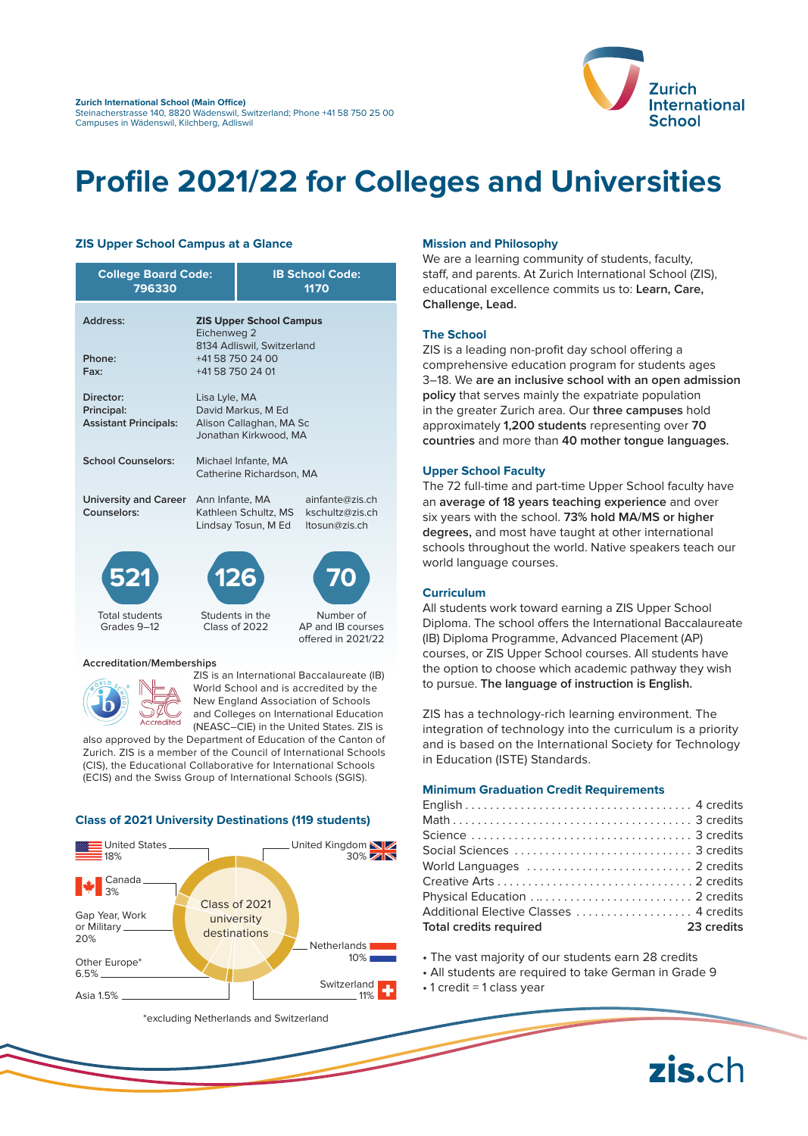

# **Profile 2021/22 for Colleges and Universities**

### **ZIS Upper School Campus at a Glance**

| <b>College Board Code:</b><br>796330                    |                  | <b>IB School Code:</b><br>1170                                         |                                                     |  |
|---------------------------------------------------------|------------------|------------------------------------------------------------------------|-----------------------------------------------------|--|
| Address:                                                | Eichenweg 2      | <b>ZIS Upper School Campus</b><br>8134 Adliswil, Switzerland           |                                                     |  |
| Phone:<br>Fax:                                          | +41 58 750 24 01 | +41 58 750 24 00                                                       |                                                     |  |
| Director:<br>Principal:<br><b>Assistant Principals:</b> | Lisa Lyle, MA    | David Markus, M Ed<br>Alison Callaghan, MA Sc<br>Jonathan Kirkwood, MA |                                                     |  |
| <b>School Counselors:</b>                               |                  | Michael Infante, MA<br>Catherine Richardson, MA                        |                                                     |  |
| <b>University and Career</b><br>Counselors:             | Ann Infante, MA  | Kathleen Schultz, MS<br>Lindsay Tosun, M Ed                            | ainfante@zis.ch<br>kschultz@zis.ch<br>ltosun@zis.ch |  |
| 521                                                     |                  | 126                                                                    | 70                                                  |  |
| <b>Total students</b>                                   | Students in the  |                                                                        | Number of                                           |  |

Grades 9–12

Number of AP and IB courses offered in 2021/22

### **Accreditation/Memberships**



ZIS is an International Baccalaureate (IB) World School and is accredited by the New England Association of Schools and Colleges on International Education (NEASC–CIE) in the United States. ZIS is

also approved by the Department of Education of the Canton of Zurich. ZIS is a member of the Council of International Schools (CIS), the Educational Collaborative for International Schools (ECIS) and the Swiss Group of International Schools (SGIS).

Class of 2022

### **Class of 2021 University Destinations (119 students)**



\*excluding Netherlands and Switzerland

### **Mission and Philosophy**

We are a learning community of students, faculty, staff, and parents. At Zurich International School (ZIS), educational excellence commits us to: **Learn, Care, Challenge, Lead.**

### **The School**

ZIS is a leading non-profit day school offering a comprehensive education program for students ages 3–18. We **are an inclusive school with an open admission policy** that serves mainly the expatriate population in the greater Zurich area. Our **three campuses** hold approximately **1,200 students** representing over **70 countries** and more than **40 mother tongue languages.**

### **Upper School Faculty**

The 72 full-time and part-time Upper School faculty have an **average of 18 years teaching experience** and over six years with the school. **73% hold MA/MS or higher degrees,** and most have taught at other international schools throughout the world. Native speakers teach our world language courses.

### **Curriculum**

All students work toward earning a ZIS Upper School Diploma. The school offers the International Baccalaureate (IB) Diploma Programme, Advanced Placement (AP) courses, or ZIS Upper School courses. All students have the option to choose which academic pathway they wish to pursue. **The language of instruction is English.**

ZIS has a technology-rich learning environment. The integration of technology into the curriculum is a priority and is based on the International Society for Technology in Education (ISTE) Standards.

### **Minimum Graduation Credit Requirements**

| Additional Elective Classes  4 credits |
|----------------------------------------|
| 23 credits                             |
|                                        |

• The vast majority of our students earn 28 credits

• All students are required to take German in Grade 9

• 1 credit = 1 class year

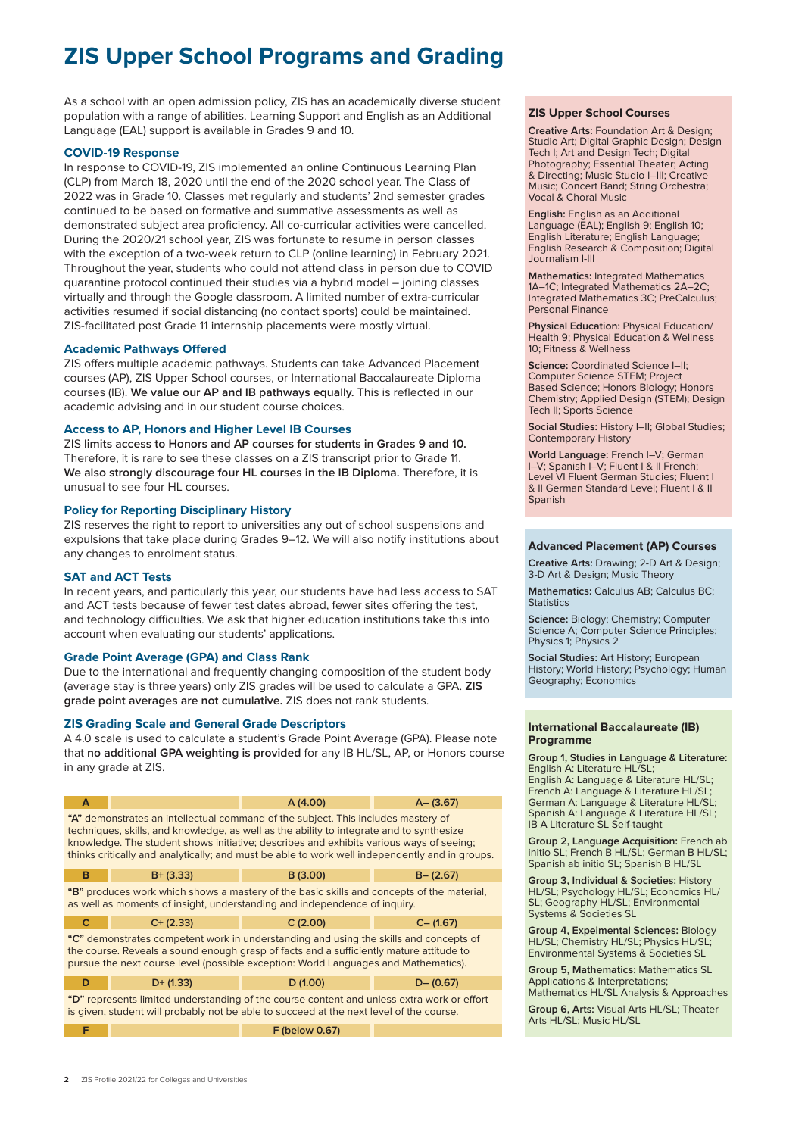# **ZIS Upper School Programs and Grading**

As a school with an open admission policy, ZIS has an academically diverse student population with a range of abilities. Learning Support and English as an Additional Language (EAL) support is available in Grades 9 and 10.

### **COVID-19 Response**

In response to COVID-19, ZIS implemented an online Continuous Learning Plan (CLP) from March 18, 2020 until the end of the 2020 school year. The Class of 2022 was in Grade 10. Classes met regularly and students' 2nd semester grades continued to be based on formative and summative assessments as well as demonstrated subject area proficiency. All co-curricular activities were cancelled. During the 2020/21 school year, ZIS was fortunate to resume in person classes with the exception of a two-week return to CLP (online learning) in February 2021. Throughout the year, students who could not attend class in person due to COVID quarantine protocol continued their studies via a hybrid model – joining classes virtually and through the Google classroom. A limited number of extra-curricular activities resumed if social distancing (no contact sports) could be maintained. ZIS-facilitated post Grade 11 internship placements were mostly virtual.

### **Academic Pathways Offered**

ZIS offers multiple academic pathways. Students can take Advanced Placement courses (AP), ZIS Upper School courses, or International Baccalaureate Diploma courses (IB). **We value our AP and IB pathways equally.** This is reflected in our academic advising and in our student course choices.

### **Access to AP, Honors and Higher Level IB Courses**

ZIS **limits access to Honors and AP courses for students in Grades 9 and 10.**  Therefore, it is rare to see these classes on a ZIS transcript prior to Grade 11. **We also strongly discourage four HL courses in the IB Diploma.** Therefore, it is unusual to see four HL courses.

### **Policy for Reporting Disciplinary History**

ZIS reserves the right to report to universities any out of school suspensions and expulsions that take place during Grades 9–12. We will also notify institutions about any changes to enrolment status.

### **SAT and ACT Tests**

In recent years, and particularly this year, our students have had less access to SAT and ACT tests because of fewer test dates abroad, fewer sites offering the test, and technology difficulties. We ask that higher education institutions take this into account when evaluating our students' applications.

### **Grade Point Average (GPA) and Class Rank**

Due to the international and frequently changing composition of the student body (average stay is three years) only ZIS grades will be used to calculate a GPA. **ZIS grade point averages are not cumulative.** ZIS does not rank students.

### **ZIS Grading Scale and General Grade Descriptors**

A 4.0 scale is used to calculate a student's Grade Point Average (GPA). Please note that **no additional GPA weighting is provided** for any IB HL/SL, AP, or Honors course in any grade at ZIS.

| A                                                                                                                                                                                                                                                                                                                                                                          |             | A(4.00)               | $A - (3.67)$ |  |
|----------------------------------------------------------------------------------------------------------------------------------------------------------------------------------------------------------------------------------------------------------------------------------------------------------------------------------------------------------------------------|-------------|-----------------------|--------------|--|
| "A" demonstrates an intellectual command of the subject. This includes mastery of<br>techniques, skills, and knowledge, as well as the ability to integrate and to synthesize<br>knowledge. The student shows initiative; describes and exhibits various ways of seeing;<br>thinks critically and analytically; and must be able to work well independently and in groups. |             |                       |              |  |
| B                                                                                                                                                                                                                                                                                                                                                                          | $B+ (3.33)$ | B (3.00)              | $B - (2.67)$ |  |
| "B" produces work which shows a mastery of the basic skills and concepts of the material,<br>as well as moments of insight, understanding and independence of inquiry.                                                                                                                                                                                                     |             |                       |              |  |
| C                                                                                                                                                                                                                                                                                                                                                                          | $C+ (2.33)$ | C(2.00)               | $C - (1.67)$ |  |
| "C" demonstrates competent work in understanding and using the skills and concepts of<br>the course. Reveals a sound enough grasp of facts and a sufficiently mature attitude to<br>pursue the next course level (possible exception: World Languages and Mathematics).                                                                                                    |             |                       |              |  |
| D                                                                                                                                                                                                                                                                                                                                                                          | $D+ (1.33)$ | D(1.00)               | $D - (0.67)$ |  |
| "D" represents limited understanding of the course content and unless extra work or effort<br>is given, student will probably not be able to succeed at the next level of the course.                                                                                                                                                                                      |             |                       |              |  |
| F                                                                                                                                                                                                                                                                                                                                                                          |             | <b>F</b> (below 0.67) |              |  |

#### **ZIS Upper School Courses**

**Creative Arts:** Foundation Art & Design; Studio Art; Digital Graphic Design; Design Tech I; Art and Design Tech; Digital Photography; Essential Theater; Acting & Directing; Music Studio I–III; Creative Music; Concert Band; String Orchestra; Vocal & Choral Music

**English:** English as an Additional Language (EAL); English 9; English 10; English Literature; English Language; English Research & Composition; Digital Journalism I-III

**Mathematics:** Integrated Mathematics 1A–1C; Integrated Mathematics 2A–2C; Integrated Mathematics 3C; PreCalculus; Personal Finance

**Physical Education:** Physical Education/ Health 9; Physical Education & Wellness 10; Fitness & Wellness

**Science:** Coordinated Science I–II; Computer Science STEM; Project Based Science; Honors Biology; Honors Chemistry; Applied Design (STEM); Design Tech II; Sports Science

**Social Studies:** History I–II; Global Studies; Contemporary History

**World Language:** French I–V; German I–V; Spanish I–V; Fluent I & II French; Level VI Fluent German Studies; Fluent I & II German Standard Level; Fluent I & II Spanish

### **Advanced Placement (AP) Courses**

**Creative Arts:** Drawing; 2-D Art & Design; 3-D Art & Design; Music Theory

**Mathematics:** Calculus AB; Calculus BC; **Statistics** 

**Science:** Biology; Chemistry; Computer Science A; Computer Science Principles; Physics 1; Physics 2

**Social Studies:** Art History; European History; World History; Psychology; Human Geography; Economics

### **International Baccalaureate (IB) Programme**

**Group 1, Studies in Language & Literature:** English A: Literature HL/SL;

English A: Language & Literature HL/SL; French A: Language & Literature HL/SL; German A: Language & Literature HL/SL; Spanish A: Language & Literature HL/SL; IB A Literature SL Self-taught

**Group 2, Language Acquisition:** French ab initio SL; French B HL/SL; German B HL/SL; Spanish ab initio SL; Spanish B HL/SL

**Group 3, Individual & Societies:** History HL/SL; Psychology HL/SL; Economics HL/ SL; Geography HL/SL; Environmental Systems & Societies SL

**Group 4, Expeimental Sciences:** Biology HL/SL; Chemistry HL/SL; Physics HL/SL; Environmental Systems & Societies SL

**Group 5, Mathematics:** Mathematics SL Applications & Interpretations; Mathematics HL/SL Analysis & Approaches

**Group 6, Arts:** Visual Arts HL/SL; Theater Arts HL/SL; Music HL/SL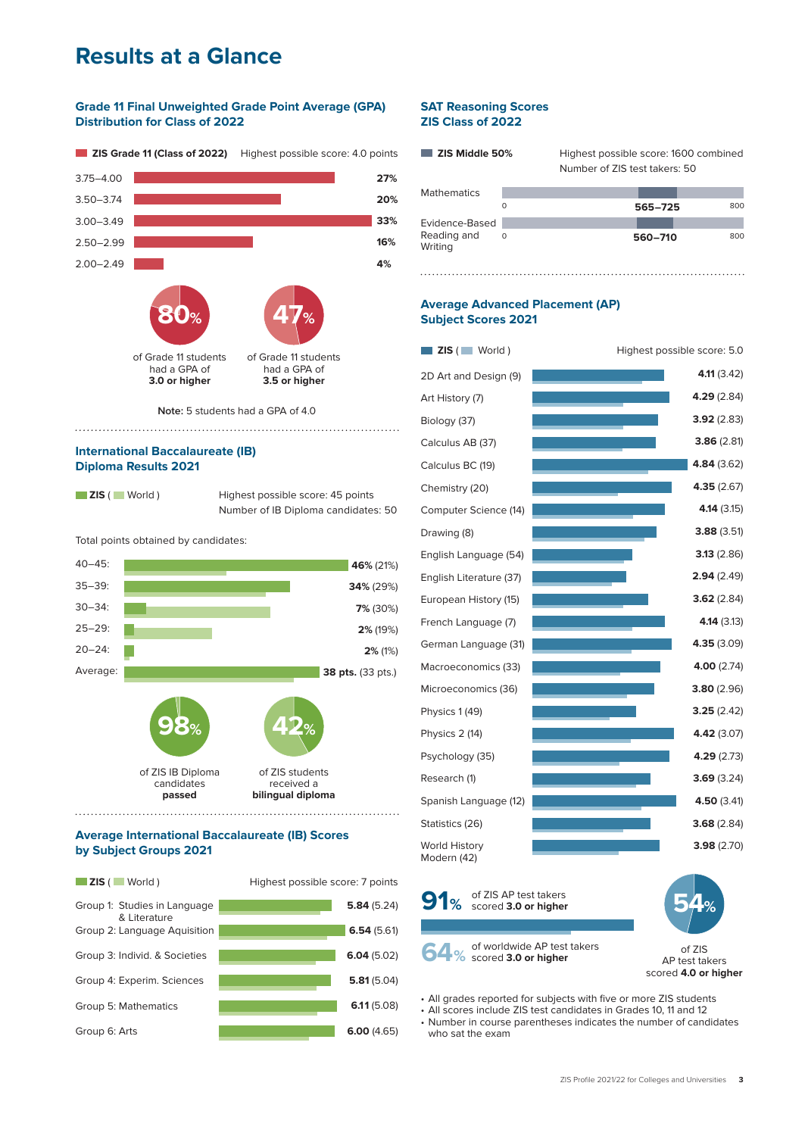# **Results at a Glance**

### **Grade 11 Final Unweighted Grade Point Average (GPA) Distribution for Class of 2022**



### **International Baccalaureate (IB) Diploma Results 2021**

 **ZIS** ( World )

Number of IB Diploma candidates: 50 Highest possible score: 45 points

Total points obtained by candidates:



of ZIS IB Diploma candidates **passed**



received a **bilingual diploma**

### **Average International Baccalaureate (IB) Scores by Subject Groups 2021**

Group 1: Studies in Language & Literature Group 2: Language Aquisition Group 3: Individ. & Societies Group 4: Experim. Sciences Group 5: Mathematics Group 6: Arts **5.84** (5.24) **6.54** (5.61) **6.04** (5.02) **6.00** (4.65) **5.81** (5.04) **6.11** (5.08) **ZIS** ( World ) Highest possible score: 7 points

### **SAT Reasoning Scores ZIS Class of 2022**

| ZIS Middle 50%         |          | Highest possible score: 1600 combined<br>Number of ZIS test takers: 50 |         |     |
|------------------------|----------|------------------------------------------------------------------------|---------|-----|
| <b>Mathematics</b>     |          |                                                                        |         |     |
|                        | Ω        |                                                                        | 565-725 | 800 |
| Evidence-Based         |          |                                                                        |         |     |
| Reading and<br>Writing | $\Omega$ |                                                                        | 560-710 | 800 |

### **Average Advanced Placement (AP) Subject Scores 2021**

| $ZIS$ ( World )                     | Highest possible score: 5.0 |
|-------------------------------------|-----------------------------|
| 2D Art and Design (9)               | 4.11(3.42)                  |
| Art History (7)                     | 4.29(2.84)                  |
| Biology (37)                        | 3.92(2.83)                  |
| Calculus AB (37)                    | 3.86(2.81)                  |
| Calculus BC (19)                    | 4.84(3.62)                  |
| Chemistry (20)                      | 4.35(2.67)                  |
| Computer Science (14)               | 4.14(3.15)                  |
| Drawing (8)                         | 3.88(3.51)                  |
| English Language (54)               | 3.13(2.86)                  |
| English Literature (37)             | 2.94(2.49)                  |
| European History (15)               | 3.62(2.84)                  |
| French Language (7)                 | 4.14(3.13)                  |
| German Language (31)                | 4.35(3.09)                  |
| Macroeconomics (33)                 | 4.00(2.74)                  |
| Microeconomics (36)                 | 3.80(2.96)                  |
| Physics 1 (49)                      | 3.25(2.42)                  |
| Physics 2 (14)                      | 4.42(3.07)                  |
| Psychology (35)                     | 4.29(2.73)                  |
| Research (1)                        | 3.69(3.24)                  |
| Spanish Language (12)               | 4.50(3.41)                  |
| Statistics (26)                     | 3.68(2.84)                  |
| <b>World History</b><br>Modern (42) | 3.98(2.70)                  |



• All grades reported for subjects with five or more ZIS students

• All scores include ZIS test candidates in Grades 10, 11 and 12 • Number in course parentheses indicates the number of candidates

who sat the exam